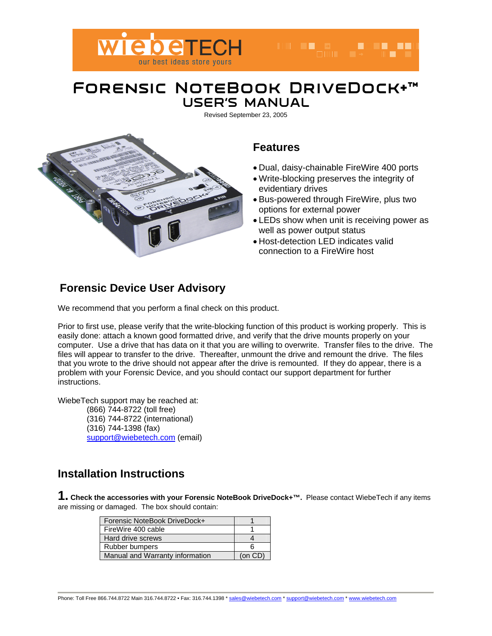

### **Forensic NoteBook DriveDock+™ USER'S MANUAL**

Revised September 23, 2005



### **Features**

• Dual, daisy-chainable FireWire 400 ports

n de la componentación de la componentación de la componentación de la componentación de la componentación de<br>En la componentación de la componentación de la componentación de la componentación de la componentación de la

- Write-blocking preserves the integrity of evidentiary drives
- Bus-powered through FireWire, plus two options for external power
- LEDs show when unit is receiving power as well as power output status
- Host-detection LED indicates valid connection to a FireWire host

## **Forensic Device User Advisory**

We recommend that you perform a final check on this product.

Prior to first use, please verify that the write-blocking function of this product is working properly. This is easily done: attach a known good formatted drive, and verify that the drive mounts properly on your computer. Use a drive that has data on it that you are willing to overwrite. Transfer files to the drive. The files will appear to transfer to the drive. Thereafter, unmount the drive and remount the drive. The files that you wrote to the drive should not appear after the drive is remounted. If they do appear, there is a problem with your Forensic Device, and you should contact our support department for further instructions.

WiebeTech support may be reached at:

(866) 744-8722 (toll free) (316) 744-8722 (international) (316) 744-1398 (fax) support@wiebetech.com (email)

### **Installation Instructions**

**1. Check the accessories with your Forensic NoteBook DriveDock+™.** Please contact WiebeTech if any items are missing or damaged. The box should contain:

| Forensic NoteBook DriveDock+    |         |
|---------------------------------|---------|
| FireWire 400 cable              |         |
| Hard drive screws               |         |
| Rubber bumpers                  | ค       |
| Manual and Warranty information | (on CD) |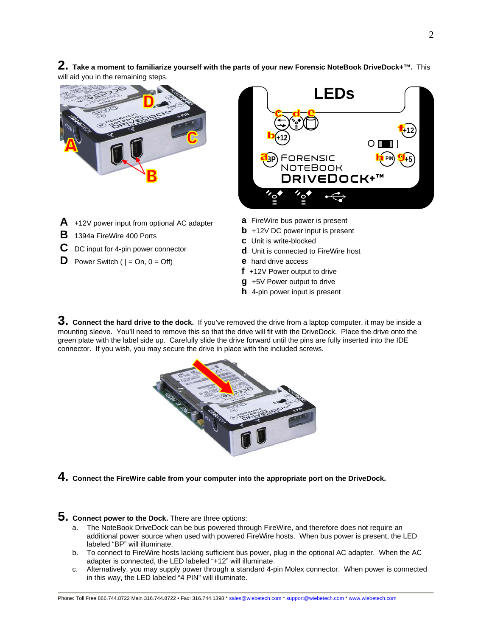**2. Take a moment to familiarize yourself with the parts of your new Forensic NoteBook DriveDock+™.** This will aid you in the remaining steps.





- **A** +12V power input from optional AC adapter
- **B** 1394a FireWire 400 Ports
- **C** DC input for 4-pin power connector
- **D** Power Switch  $( | = On, 0 = Off)$
- **a** FireWire bus power is present
- **b** +12V DC power input is present
- **c** Unit is write-blocked
- **d** Unit is connected to FireWire host
- **e** hard drive access
- **f** +12V Power output to drive
- **g** +5V Power output to drive
- **h** 4-pin power input is present

**3. Connect the hard drive to the dock.** If you've removed the drive from a laptop computer, it may be inside a mounting sleeve. You'll need to remove this so that the drive will fit with the DriveDock. Place the drive onto the green plate with the label side up. Carefully slide the drive forward until the pins are fully inserted into the IDE connector. If you wish, you may secure the drive in place with the included screws.



**4. Connect the FireWire cable from your computer into the appropriate port on the DriveDock.** 

**5.** Connect power to the Dock. There are three options:

- a. The NoteBook DriveDock can be bus powered through FireWire, and therefore does not require an additional power source when used with powered FireWire hosts. When bus power is present, the LED labeled "BP" will illuminate.
- b. To connect to FireWire hosts lacking sufficient bus power, plug in the optional AC adapter. When the AC adapter is connected, the LED labeled "+12" will illuminate.
- c. Alternatively, you may supply power through a standard 4-pin Molex connector. When power is connected in this way, the LED labeled "4 PIN" will illuminate.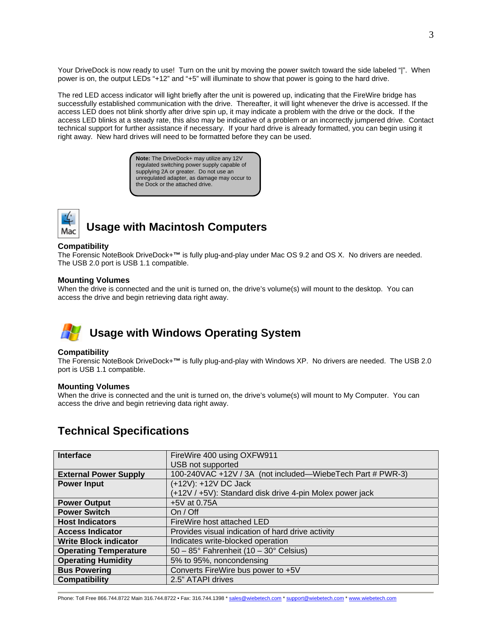Your DriveDock is now ready to use! Turn on the unit by moving the power switch toward the side labeled "|". When power is on, the output LEDs "+12" and "+5" will illuminate to show that power is going to the hard drive.

The red LED access indicator will light briefly after the unit is powered up, indicating that the FireWire bridge has successfully established communication with the drive. Thereafter, it will light whenever the drive is accessed. If the access LED does not blink shortly after drive spin up, it may indicate a problem with the drive or the dock. If the access LED blinks at a steady rate, this also may be indicative of a problem or an incorrectly jumpered drive. Contact technical support for further assistance if necessary. If your hard drive is already formatted, you can begin using it right away. New hard drives will need to be formatted before they can be used.

> **Note:** The DriveDock+ may utilize any 12V regulated switching power supply capable of supplying 2A or greater. Do not use an unregulated adapter, as damage may occur to the Dock or the attached drive.



# **Usage with Macintosh Computers**

#### **Compatibility**

The Forensic NoteBook DriveDock+**™** is fully plug-and-play under Mac OS 9.2 and OS X. No drivers are needed. The USB 2.0 port is USB 1.1 compatible.

#### **Mounting Volumes**

When the drive is connected and the unit is turned on, the drive's volume(s) will mount to the desktop. You can access the drive and begin retrieving data right away.

# **Usage with Windows Operating System**

#### **Compatibility**

The Forensic NoteBook DriveDock+**™** is fully plug-and-play with Windows XP. No drivers are needed. The USB 2.0 port is USB 1.1 compatible.

#### **Mounting Volumes**

When the drive is connected and the unit is turned on, the drive's volume(s) will mount to My Computer. You can access the drive and begin retrieving data right away.

### **Technical Specifications**

| <b>Interface</b>             | FireWire 400 using OXFW911                                 |
|------------------------------|------------------------------------------------------------|
|                              | USB not supported                                          |
| <b>External Power Supply</b> | 100-240VAC +12V / 3A (not included—WiebeTech Part # PWR-3) |
| <b>Power Input</b>           | (+12V): +12V DC Jack                                       |
|                              | (+12V / +5V): Standard disk drive 4-pin Molex power jack   |
| <b>Power Output</b>          | +5V at 0.75A                                               |
| <b>Power Switch</b>          | On / Off                                                   |
| <b>Host Indicators</b>       | FireWire host attached LED                                 |
| <b>Access Indicator</b>      | Provides visual indication of hard drive activity          |
| <b>Write Block indicator</b> | Indicates write-blocked operation                          |
| <b>Operating Temperature</b> | $50 - 85^{\circ}$ Fahrenheit (10 - 30° Celsius)            |
| <b>Operating Humidity</b>    | 5% to 95%, noncondensing                                   |
| <b>Bus Powering</b>          | Converts FireWire bus power to +5V                         |
| <b>Compatibility</b>         | 2.5" ATAPI drives                                          |

Phone: Toll Free 866.744.8722 Main 316.744.8722 • Fax: 316.744.1398 \* sales@wiebetech.com \* support@wiebetech.com \* www.wiebetech.com